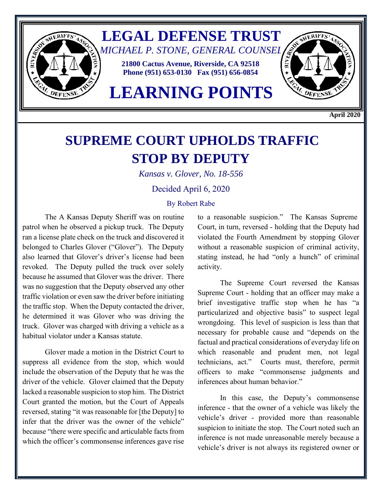

**April 2020**

## **SUPREME COURT UPHOLDS TRAFFIC STOP BY DEPUTY**

*Kansas v. Glover, No. 18-556*

Decided April 6, 2020

## By Robert Rabe

The A Kansas Deputy Sheriff was on routine patrol when he observed a pickup truck. The Deputy ran a license plate check on the truck and discovered it belonged to Charles Glover ("Glover"). The Deputy also learned that Glover's driver's license had been revoked. The Deputy pulled the truck over solely because he assumed that Glover was the driver. There was no suggestion that the Deputy observed any other traffic violation or even saw the driver before initiating the traffic stop. When the Deputy contacted the driver, he determined it was Glover who was driving the truck. Glover was charged with driving a vehicle as a habitual violator under a Kansas statute.

Glover made a motion in the District Court to suppress all evidence from the stop, which would include the observation of the Deputy that he was the driver of the vehicle. Glover claimed that the Deputy lacked a reasonable suspicion to stop him. The District Court granted the motion, but the Court of Appeals reversed, stating "it was reasonable for [the Deputy] to infer that the driver was the owner of the vehicle" because "there were specific and articulable facts from which the officer's commonsense inferences gave rise

to a reasonable suspicion." The Kansas Supreme Court, in turn, reversed - holding that the Deputy had violated the Fourth Amendment by stopping Glover without a reasonable suspicion of criminal activity, stating instead, he had "only a hunch" of criminal activity.

The Supreme Court reversed the Kansas Supreme Court - holding that an officer may make a brief investigative traffic stop when he has "a particularized and objective basis" to suspect legal wrongdoing. This level of suspicion is less than that necessary for probable cause and "depends on the factual and practical considerations of everyday life on which reasonable and prudent men, not legal technicians, act." Courts must, therefore, permit officers to make "commonsense judgments and inferences about human behavior."

In this case, the Deputy's commonsense inference - that the owner of a vehicle was likely the vehicle's driver - provided more than reasonable suspicion to initiate the stop. The Court noted such an inference is not made unreasonable merely because a vehicle's driver is not always its registered owner or